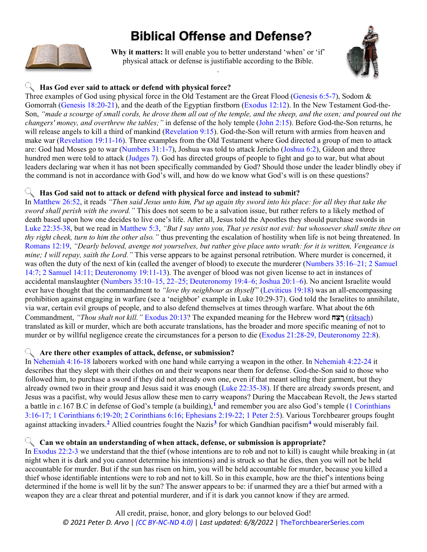# **Biblical Offense and Defense?**

<span id="page-0-0"></span>

**Why it matters:** It will enable you to better understand 'when' or 'if' physical attack or defense is justifiable according to the Bible. .



## **Has God ever said to attack or defend with physical force?**

Three examples of God using physical force in the Old Testament are the Great Flood [\(Genesis 6:5-7\)](https://www.biblegateway.com/passage/?search=Genesis+6%3A5-7&version=KJV&interface=print), Sodom & Gomorrah [\(Genesis 18:20-21\)](https://www.biblegateway.com/passage/?search=Genesis+18%3A20-21&version=KJV&interface=print), and the death of the Egyptian firstborn [\(Exodus 12:12\)](https://www.biblegateway.com/passage/?search=Exodus+12%3A12&version=KJV&interface=print). In the New Testament God-the-Son, *"made a scourge of small cords, he drove them all out of the temple, and the sheep, and the oxen; and poured out the changers' money, and overthrew the tables;"* in defense of the holy temple [\(John 2:15\)](https://www.biblegateway.com/passage/?search=John+2%3A15&version=KJV&interface=print). Before God-the-Son returns, he will release angels to kill a third of mankind [\(Revelation 9:15\)](https://www.biblegateway.com/passage/?search=Revelation+9%3A15&version=KJV&interface=print). God-the-Son will return with armies from heaven and make war [\(Revelation 19:11-16\)](https://www.biblegateway.com/passage/?search=Revelation+19%3A11-16&version=KJV&interface=print). Three examples from the Old Testament where God directed a group of men to attack are: God had Moses go to war [\(Numbers 31:1-7\)](https://www.biblegateway.com/passage/?search=Numbers+31%3A1-7&version=KJV&interface=print), Joshua was told to attack Jericho [\(Joshua 6:2\)](https://www.biblegateway.com/passage/?search=Joshua+6%3A2&version=KJV&interface=print), Gideon and three hundred men were told to attack [\(Judges 7\)](https://www.biblegateway.com/passage/?search=Judges+7&version=KJV&interface=print). God has directed groups of people to fight and go to war, but what about leaders declaring war when it has not been specifically commanded by God? Should those under the leader blindly obey if the command is not in accordance with God's will, and how do we know what God's will is on these questions?

#### **Has God said not to attack or defend with physical force and instead to submit?**

In [Matthew 26:52,](https://www.biblegateway.com/passage/?search=Matthew+26%3A52&version=KJV&interface=print) it reads *"Then said Jesus unto him, Put up again thy sword into his place: for all they that take the sword shall perish with the sword."* This does not seem to be a salvation issue, but rather refers to a likely method of death based upon how one decides to live one's life. After all, Jesus told the Apostles they should purchase swords in [Luke 22:35-38,](https://www.biblegateway.com/passage/?search=Luke+22%3A35-38&version=KJV&interface=print) but we read in [Matthew 5:3,](https://www.biblegateway.com/passage/?search=Matthew+5%3A3&version=KJV&interface=print) *"But I say unto you, That ye resist not evil: but whosoever shall smite thee on thy right cheek, turn to him the other also."* thus preventing the escalation of hostility when life is not being threatened. In [Romans 12:19,](https://www.biblegateway.com/passage/?search=Romans+12%3A19&version=KJV&interface=print) *"Dearly beloved, avenge not yourselves, but rather give place unto wrath: for it is written, Vengeance is mine; I will repay, saith the Lord."* This verse appears to be against personal retribution. Where murder is concerned, it was often the duty of the next of kin (called the avenger of blood) to execute the murderer (Numbers 35:16–21; 2 Samuel [14:7; 2 Samuel 14:11; Deuteronomy 19:11-13\)](https://www.biblegateway.com/passage/?search=Numbers+35%3A16%E2%80%9321%3B+2+Samuel+14%3A7%3B+2+Samuel+14%3A11%3B+Deuteronomy+19%3A11-13&version=KJV&interface=print). The avenger of blood was not given license to act in instances of accidental manslaughter [\(Numbers 35:10–15, 22–25; Deuteronomy 19:4–6; Joshua 20:1–6\)](https://www.biblegateway.com/passage/?search=Numbers+35%3A16%E2%80%9321%3B+2+Samuel+14%3A7%3B+2+Samuel+14%3A11%3B+Deuteronomy+19%3A11-13&version=KJV&interface=print). No ancient Israelite would ever have thought that the commandment to *"love thy neighbour as thyself"* [\(Leviticus 19:18\)](https://www.biblegateway.com/passage/?search=Leviticus+19%3A18&version=KJV&interface=print) was an all-encompassing prohibition against engaging in warfare (see a 'neighbor' example in Luke 10:29-37). God told the Israelites to annihilate, via war, certain evil groups of people, and to also defend themselves at times through warfare. What about the 6th Commandment, *"Thou shalt not kill."* [Exodus](https://www.biblegateway.com/passage/?search=Exodus+20%3A13&version=KJV&interface=print) 20:13? The expanded meaning for the Hebrew word **ח ַצ ָר**) [râtsach\)](https://web.archive.org/web/20210119172046/https:/www.blueletterbible.org/lang/lexicon/lexicon.cfm?t=kjv&strongs=h7523) translated as kill or murder, which are both accurate translations, has the broader and more specific meaning of not to murder or by willful negligence create the circumstances for a person to die [\(Exodus 21:28-29, Deuteronomy 22:8\)](https://www.biblegateway.com/passage/?search=Exodus+21%3A28-29%2C+Deuteronomy+22%3A8&version=KJV&interface=print).

#### **Are there other examples of attack, defense, or submission?**

In [Nehemiah 4:16-18](https://www.biblegateway.com/passage/?search=Nehemiah+4%3A16-18&version=KJV&interface=print) laborers worked with one hand while carrying a weapon in the other. In [Nehemiah 4:22-24](https://www.biblegateway.com/passage/?search=Nehemiah+4%3A22-24&version=KJV&interface=print) it describes that they slept with their clothes on and their weapons near them for defense. God-the-Son said to those who followed him, to purchase a sword if they did not already own one, even if that meant selling their garment, but they already owned two in their group and Jesus said it was enough [\(Luke 22:35-38\)](https://www.biblegateway.com/passage/?search=Luke+22%3A35-38&version=KJV&interface=print). If there are already swords present, and Jesus was a pacifist, why would Jesus allow these men to carry weapons? During the Maccabean Revolt, the Jews started a battle in *c.*167 B.C in defense of God's temple (a building), **[1](#page-1-0)** and remember you are also God's temple [\(1 Corinthians](https://www.biblegateway.com/passage/?search=1+Corinthians+3%3A16-17%3B+1+Corinthians+6%3A19-20%3B+2+Corinthians+6%3A16%3B+Ephesians+2%3A19-22%3B+1+Peter+2%3A5&version=KJV&interface=print)  [3:16-17; 1 Corinthians 6:19-20; 2 Corinthians 6:16; Ephesians 2:19-22; 1 Peter 2:5\)](https://www.biblegateway.com/passage/?search=1+Corinthians+3%3A16-17%3B+1+Corinthians+6%3A19-20%3B+2+Corinthians+6%3A16%3B+Ephesians+2%3A19-22%3B+1+Peter+2%3A5&version=KJV&interface=print). Various Torchbearer groups fought against attacking invaders. **[2](#page-1-1)** Allied countries fought the Nazis**[3](#page-1-2)** for which Gandhian pacifism**[4](#page-1-3)** would miserably fail.

#### **Can we obtain an understanding of when attack, defense, or submission is appropriate?**

In [Exodus 22:2-3](https://www.biblegateway.com/passage/?search=Exodus+22%3A2-3&version=KJV&interface=print) we understand that the thief (whose intentions are to rob and not to kill) is caught while breaking in (at night when it is dark and you cannot determine his intentions) and is struck so that he dies, then you will not be held accountable for murder. But if the sun has risen on him, you will be held accountable for murder, because you killed a thief whose identifiable intentions were to rob and not to kill. So in this example, how are the thief's intentions being determined if the home is well lit by the sun? The answer appears to be: if unarmed they are a thief but armed with a weapon they are a clear threat and potential murderer, and if it is dark you cannot know if they are armed.